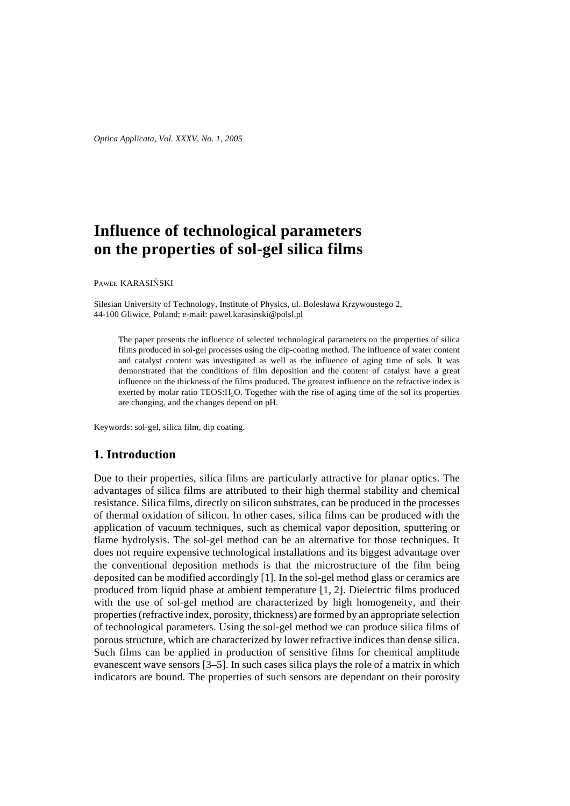# **Influence of technological parameters on the properties of sol-gel silica films**

PAWEŁ KARASIŃSKI

Silesian University of Technology, Institute of Physics, ul. Bolesława Krzywoustego 2, 44-100 Gliwice, Poland; e-mail: pawel.karasinski@polsl.pl

The paper presents the influence of selected technological parameters on the properties of silica films produced in sol-gel processes using the dip-coating method. The influence of water content and catalyst content was investigated as well as the influence of aging time of sols. It was demonstrated that the conditions of film deposition and the content of catalyst have a great influence on the thickness of the films produced. The greatest influence on the refractive index is exerted by molar ratio TEOS: H<sub>2</sub>O. Together with the rise of aging time of the sol its properties are changing, and the changes depend on pH.

Keywords: sol-gel, silica film, dip coating.

# **1. Introduction**

Due to their properties, silica films are particularly attractive for planar optics. The advantages of silica films are attributed to their high thermal stability and chemical resistance. Silica films, directly on silicon substrates, can be produced in the processes of thermal oxidation of silicon. In other cases, silica films can be produced with the application of vacuum techniques, such as chemical vapor deposition, sputtering or flame hydrolysis. The sol-gel method can be an alternative for those techniques. It does not require expensive technological installations and its biggest advantage over the conventional deposition methods is that the microstructure of the film being deposited can be modified accordingly [1]. In the sol-gel method glass or ceramics are produced from liquid phase at ambient temperature [1, 2]. Dielectric films produced with the use of sol-gel method are characterized by high homogeneity, and their properties (refractive index, porosity, thickness) are formed by an appropriate selection of technological parameters. Using the sol-gel method we can produce silica films of porous structure, which are characterized by lower refractive indices than dense silica. Such films can be applied in production of sensitive films for chemical amplitude evanescent wave sensors [3–5]. In such cases silica plays the role of a matrix in which indicators are bound. The properties of such sensors are dependant on their porosity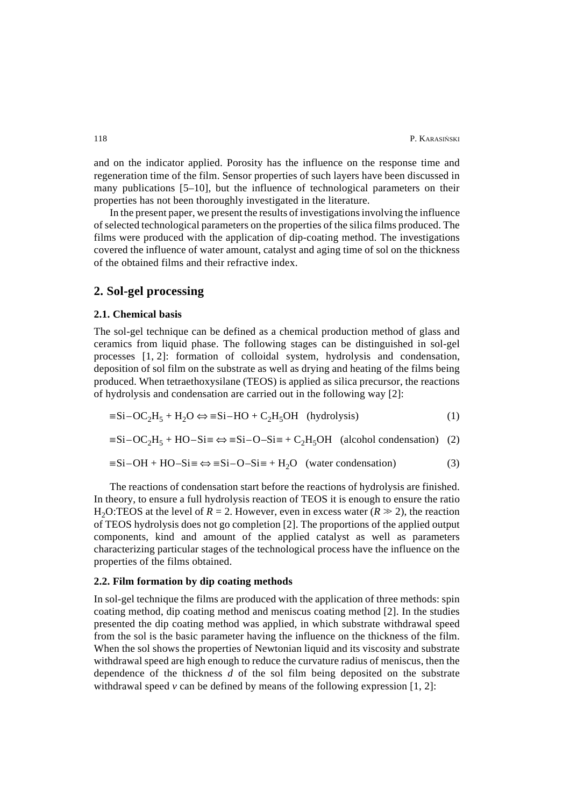and on the indicator applied. Porosity has the influence on the response time and regeneration time of the film. Sensor properties of such layers have been discussed in many publications [5–10], but the influence of technological parameters on their properties has not been thoroughly investigated in the literature.

In the present paper, we present the results of investigations involving the influence of selected technological parameters on the properties of the silica films produced. The films were produced with the application of dip-coating method. The investigations covered the influence of water amount, catalyst and aging time of sol on the thickness of the obtained films and their refractive index.

# **2. Sol-gel processing**

### **2.1. Chemical basis**

The sol-gel technique can be defined as a chemical production method of glass and ceramics from liquid phase. The following stages can be distinguished in sol-gel processes [1, 2]: formation of colloidal system, hydrolysis and condensation, deposition of sol film on the substrate as well as drying and heating of the films being produced. When tetraethoxysilane (TEOS) is applied as silica precursor, the reactions of hydrolysis and condensation are carried out in the following way [2]:

$$
\equiv Si - OC_2H_5 + H_2O \Leftrightarrow \equiv Si - HO + C_2H_5OH \text{ (hydrolysis)}
$$
 (1)

 $\equiv$ Si–OC<sub>2</sub>H<sub>5</sub> + HO–Si $\equiv \Leftrightarrow \equiv$ Si–O–Si $\equiv$  + C<sub>2</sub>H<sub>5</sub>OH (alcohol condensation) (2)

$$
\equiv Si-OH + HO-Si \equiv \Leftrightarrow \equiv Si-O-Si \equiv +H_2O \quad \text{(water condensation)}\tag{3}
$$

The reactions of condensation start before the reactions of hydrolysis are finished. In theory, to ensure a full hydrolysis reaction of TEOS it is enough to ensure the ratio H<sub>2</sub>O:TEOS at the level of  $R = 2$ . However, even in excess water ( $R \gg 2$ ), the reaction of TEOS hydrolysis does not go completion [2]. The proportions of the applied output components, kind and amount of the applied catalyst as well as parameters characterizing particular stages of the technological process have the influence on the properties of the films obtained.

# **2.2. Film formation by dip coating methods**

In sol-gel technique the films are produced with the application of three methods: spin coating method, dip coating method and meniscus coating method [2]. In the studies presented the dip coating method was applied, in which substrate withdrawal speed from the sol is the basic parameter having the influence on the thickness of the film. When the sol shows the properties of Newtonian liquid and its viscosity and substrate withdrawal speed are high enough to reduce the curvature radius of meniscus, then the dependence of the thickness *d* of the sol film being deposited on the substrate withdrawal speed  $\nu$  can be defined by means of the following expression [1, 2]: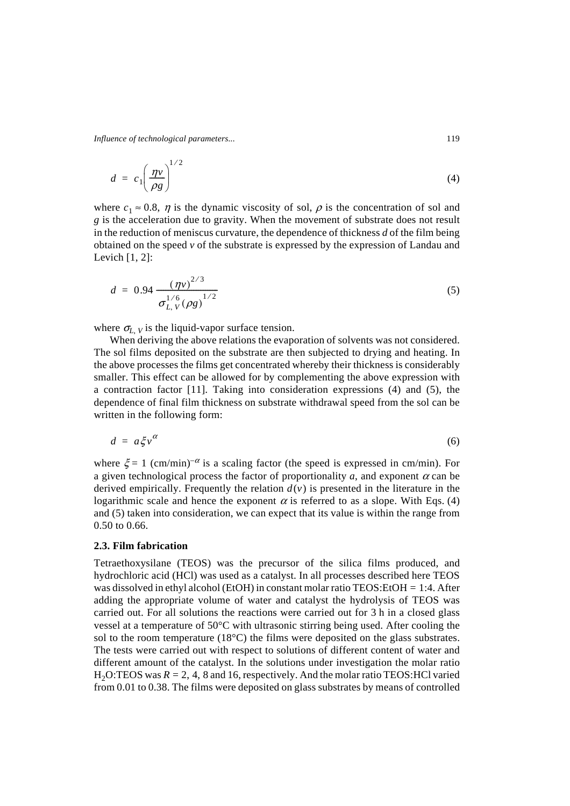*Influence of technological parameters...* 119

$$
d = c_1 \left(\frac{\eta v}{\rho g}\right)^{1/2} \tag{4}
$$

where  $c_1 \approx 0.8$ ,  $\eta$  is the dynamic viscosity of sol,  $\rho$  is the concentration of sol and *g* is the acceleration due to gravity. When the movement of substrate does not result in the reduction of meniscus curvature, the dependence of thickness *d* of the film being obtained on the speed  $\nu$  of the substrate is expressed by the expression of Landau and Levich [1, 2]:

$$
d = 0.94 \frac{(\eta v)^{2/3}}{\sigma_{L, V}^{1/6} (\rho g)^{1/2}}
$$
 (5)

where  $\sigma_{L, V}$  is the liquid-vapor surface tension.

When deriving the above relations the evaporation of solvents was not considered. The sol films deposited on the substrate are then subjected to drying and heating. In the above processes the films get concentrated whereby their thickness is considerably smaller. This effect can be allowed for by complementing the above expression with a contraction factor [11]. Taking into consideration expressions (4) and (5), the dependence of final film thickness on substrate withdrawal speed from the sol can be written in the following form:

$$
d = a \xi v^{\alpha} \tag{6}
$$

where  $\xi = 1$  (cm/min)<sup>- $\alpha$ </sup> is a scaling factor (the speed is expressed in cm/min). For a given technological process the factor of proportionality  $a$ , and exponent  $\alpha$  can be derived empirically. Frequently the relation  $d(v)$  is presented in the literature in the logarithmic scale and hence the exponent  $\alpha$  is referred to as a slope. With Eqs. (4) and (5) taken into consideration, we can expect that its value is within the range from 0.50 to 0.66.

#### **2.3. Film fabrication**

Tetraethoxysilane (TEOS) was the precursor of the silica films produced, and hydrochloric acid (HCl) was used as a catalyst. In all processes described here TEOS was dissolved in ethyl alcohol (EtOH) in constant molar ratio TEOS:EtOH = 1:4. After adding the appropriate volume of water and catalyst the hydrolysis of TEOS was carried out. For all solutions the reactions were carried out for 3 h in a closed glass vessel at a temperature of 50°C with ultrasonic stirring being used. After cooling the sol to the room temperature (18°C) the films were deposited on the glass substrates. The tests were carried out with respect to solutions of different content of water and different amount of the catalyst. In the solutions under investigation the molar ratio  $H<sub>2</sub>O:TEOS$  was  $R = 2, 4, 8$  and 16, respectively. And the molar ratio TEOS:HCl varied from 0.01 to 0.38. The films were deposited on glass substrates by means of controlled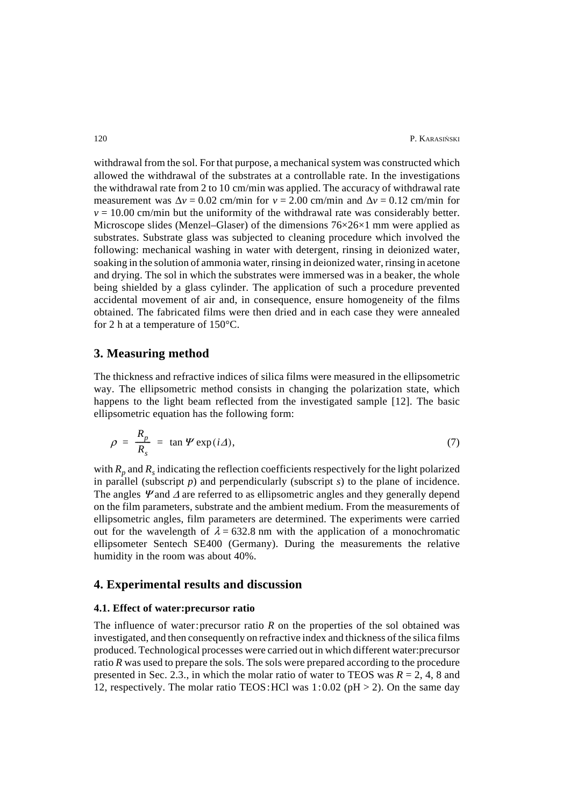withdrawal from the sol. For that purpose, a mechanical system was constructed which allowed the withdrawal of the substrates at a controllable rate. In the investigations the withdrawal rate from 2 to 10 cm/min was applied. The accuracy of withdrawal rate measurement was  $\Delta v = 0.02$  cm/min for  $v = 2.00$  cm/min and  $\Delta v = 0.12$  cm/min for  $v = 10.00$  cm/min but the uniformity of the withdrawal rate was considerably better. Microscope slides (Menzel–Glaser) of the dimensions  $76\times26\times1$  mm were applied as substrates. Substrate glass was subjected to cleaning procedure which involved the following: mechanical washing in water with detergent, rinsing in deionized water, soaking in the solution of ammonia water, rinsing in deionized water, rinsing in acetone and drying. The sol in which the substrates were immersed was in a beaker, the whole being shielded by a glass cylinder. The application of such a procedure prevented accidental movement of air and, in consequence, ensure homogeneity of the films obtained. The fabricated films were then dried and in each case they were annealed for 2 h at a temperature of 150°C.

# **3. Measuring method**

The thickness and refractive indices of silica films were measured in the ellipsometric way. The ellipsometric method consists in changing the polarization state, which happens to the light beam reflected from the investigated sample [12]. The basic ellipsometric equation has the following form:

$$
\rho = \frac{R_p}{R_s} = \tan \Psi \exp(i\varDelta), \tag{7}
$$

with  $R_p$  and  $R_s$  indicating the reflection coefficients respectively for the light polarized in parallel (subscript *p*) and perpendicularly (subscript *s*) to the plane of incidence. The angles  $\mathcal{V}$  and  $\Delta$  are referred to as ellipsometric angles and they generally depend on the film parameters, substrate and the ambient medium. From the measurements of ellipsometric angles, film parameters are determined. The experiments were carried out for the wavelength of  $\lambda = 632.8$  nm with the application of a monochromatic ellipsometer Sentech SE400 (Germany). During the measurements the relative humidity in the room was about 40%.

# **4. Experimental results and discussion**

### **4.1. Effect of water:precursor ratio**

The influence of water: precursor ratio  $R$  on the properties of the sol obtained was investigated, and then consequently on refractive index and thickness of the silica films produced. Technological processes were carried out in which different water:precursor ratio *R* was used to prepare the sols. The sols were prepared according to the procedure presented in Sec. 2.3., in which the molar ratio of water to TEOS was  $R = 2, 4, 8$  and 12, respectively. The molar ratio TEOS: HCl was  $1:0.02$  (pH  $> 2$ ). On the same day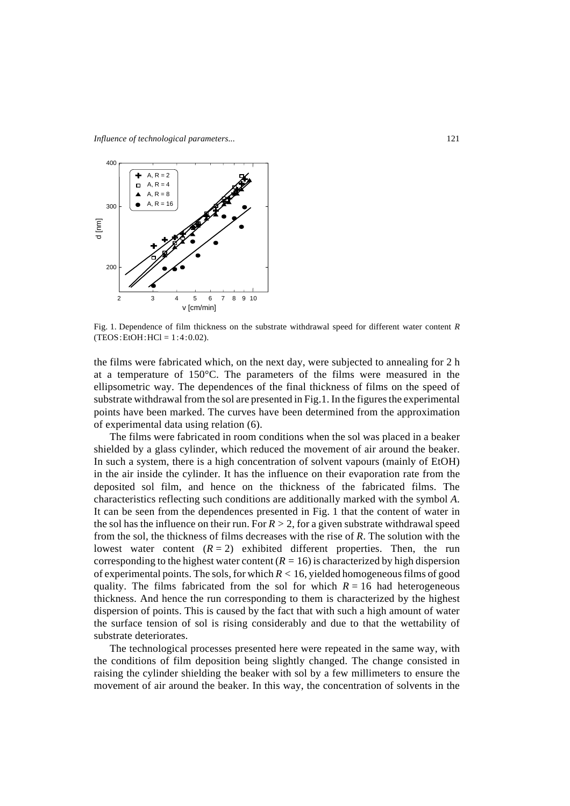

Fig. 1. Dependence of film thickness on the substrate withdrawal speed for different water content *R*  $(TEOS: EtOH:HCI = 1:4:0.02)$ .

the films were fabricated which, on the next day, were subjected to annealing for 2 h at a temperature of 150°C. The parameters of the films were measured in the ellipsometric way. The dependences of the final thickness of films on the speed of substrate withdrawal from the sol are presented in Fig.1. In the figures the experimental points have been marked. The curves have been determined from the approximation of experimental data using relation (6).

The films were fabricated in room conditions when the sol was placed in a beaker shielded by a glass cylinder, which reduced the movement of air around the beaker. In such a system, there is a high concentration of solvent vapours (mainly of EtOH) in the air inside the cylinder. It has the influence on their evaporation rate from the deposited sol film, and hence on the thickness of the fabricated films. The characteristics reflecting such conditions are additionally marked with the symbol *A*. It can be seen from the dependences presented in Fig. 1 that the content of water in the sol has the influence on their run. For  $R > 2$ , for a given substrate withdrawal speed from the sol, the thickness of films decreases with the rise of *R*. The solution with the lowest water content  $(R = 2)$  exhibited different properties. Then, the run corresponding to the highest water content  $(R = 16)$  is characterized by high dispersion of experimental points. The sols, for which  $R < 16$ , yielded homogeneous films of good quality. The films fabricated from the sol for which  $R = 16$  had heterogeneous thickness. And hence the run corresponding to them is characterized by the highest dispersion of points. This is caused by the fact that with such a high amount of water the surface tension of sol is rising considerably and due to that the wettability of substrate deteriorates.

The technological processes presented here were repeated in the same way, with the conditions of film deposition being slightly changed. The change consisted in raising the cylinder shielding the beaker with sol by a few millimeters to ensure the movement of air around the beaker. In this way, the concentration of solvents in the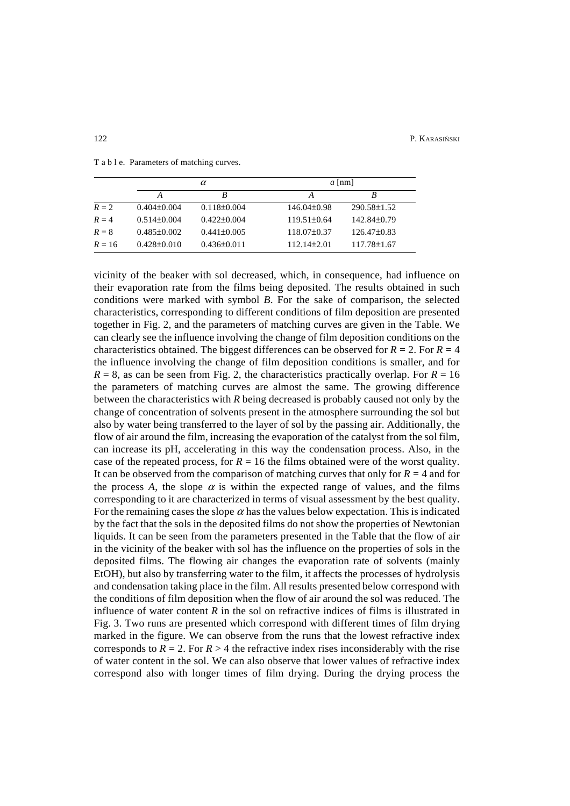|          | $\alpha$          |                   | $a$ [nm]        |                   |  |
|----------|-------------------|-------------------|-----------------|-------------------|--|
|          | A                 | B                 | A               | R                 |  |
| $R=2$    | $0.404\pm0.004$   | $0.118 \pm 0.004$ | $146.04\pm0.98$ | $290.58 \pm 1.52$ |  |
| $R = 4$  | $0.514\pm0.004$   | $0.422 \pm 0.004$ | $119.51\pm0.64$ | 142.84±0.79       |  |
| $R=8$    | $0.485\pm0.002$   | $0.441 \pm 0.005$ | $118.07\pm0.37$ | $126.47\pm0.83$   |  |
| $R = 16$ | $0.428 \pm 0.010$ | $0.436\pm0.011$   | $112.14\pm2.01$ | 117.78±1.67       |  |

T a b l e. Parameters of matching curves.

vicinity of the beaker with sol decreased, which, in consequence, had influence on their evaporation rate from the films being deposited. The results obtained in such conditions were marked with symbol *B*. For the sake of comparison, the selected characteristics, corresponding to different conditions of film deposition are presented together in Fig. 2, and the parameters of matching curves are given in the Table. We can clearly see the influence involving the change of film deposition conditions on the characteristics obtained. The biggest differences can be observed for  $R = 2$ . For  $R = 4$ the influence involving the change of film deposition conditions is smaller, and for  $R = 8$ , as can be seen from Fig. 2, the characteristics practically overlap. For  $R = 16$ the parameters of matching curves are almost the same. The growing difference between the characteristics with *R* being decreased is probably caused not only by the change of concentration of solvents present in the atmosphere surrounding the sol but also by water being transferred to the layer of sol by the passing air. Additionally, the flow of air around the film, increasing the evaporation of the catalyst from the sol film, can increase its pH, accelerating in this way the condensation process. Also, in the case of the repeated process, for  $R = 16$  the films obtained were of the worst quality. It can be observed from the comparison of matching curves that only for  $R = 4$  and for the process A, the slope  $\alpha$  is within the expected range of values, and the films corresponding to it are characterized in terms of visual assessment by the best quality. For the remaining cases the slope  $\alpha$  has the values below expectation. This is indicated by the fact that the sols in the deposited films do not show the properties of Newtonian liquids. It can be seen from the parameters presented in the Table that the flow of air in the vicinity of the beaker with sol has the influence on the properties of sols in the deposited films. The flowing air changes the evaporation rate of solvents (mainly EtOH), but also by transferring water to the film, it affects the processes of hydrolysis and condensation taking place in the film. All results presented below correspond with the conditions of film deposition when the flow of air around the sol was reduced. The influence of water content  $R$  in the sol on refractive indices of films is illustrated in Fig. 3. Two runs are presented which correspond with different times of film drying marked in the figure. We can observe from the runs that the lowest refractive index corresponds to  $R = 2$ . For  $R > 4$  the refractive index rises inconsiderably with the rise of water content in the sol. We can also observe that lower values of refractive index correspond also with longer times of film drying. During the drying process the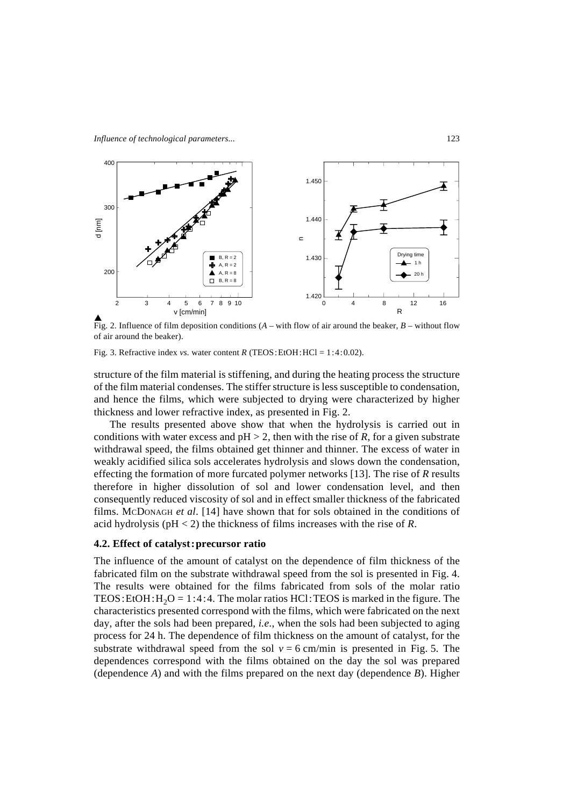

Fig. 2. Influence of film deposition conditions (*A* – with flow of air around the beaker, *B* – without flow of air around the beaker).

Fig. 3. Refractive index *vs.* water content *R* (TEOS: EtOH: HCl = 1:4:0.02).

structure of the film material is stiffening, and during the heating process the structure of the film material condenses. The stiffer structure is less susceptible to condensation, and hence the films, which were subjected to drying were characterized by higher thickness and lower refractive index, as presented in Fig. 2.

The results presented above show that when the hydrolysis is carried out in conditions with water excess and  $pH > 2$ , then with the rise of *R*, for a given substrate withdrawal speed, the films obtained get thinner and thinner. The excess of water in weakly acidified silica sols accelerates hydrolysis and slows down the condensation, effecting the formation of more furcated polymer networks [13]. The rise of *R* results therefore in higher dissolution of sol and lower condensation level, and then consequently reduced viscosity of sol and in effect smaller thickness of the fabricated films. MCDONAGH *et al*. [14] have shown that for sols obtained in the conditions of acid hydrolysis (pH < 2) the thickness of films increases with the rise of *R*.

# **4.2. Effect of catalyst:precursor ratio**

The influence of the amount of catalyst on the dependence of film thickness of the fabricated film on the substrate withdrawal speed from the sol is presented in Fig. 4. The results were obtained for the films fabricated from sols of the molar ratio TEOS: EtOH:  $H_2O = 1:4:4$ . The molar ratios HCl: TEOS is marked in the figure. The characteristics presented correspond with the films, which were fabricated on the next day, after the sols had been prepared, *i.e*., when the sols had been subjected to aging process for 24 h. The dependence of film thickness on the amount of catalyst, for the substrate withdrawal speed from the sol  $v = 6$  cm/min is presented in Fig. 5. The dependences correspond with the films obtained on the day the sol was prepared (dependence *A*) and with the films prepared on the next day (dependence *B*). Higher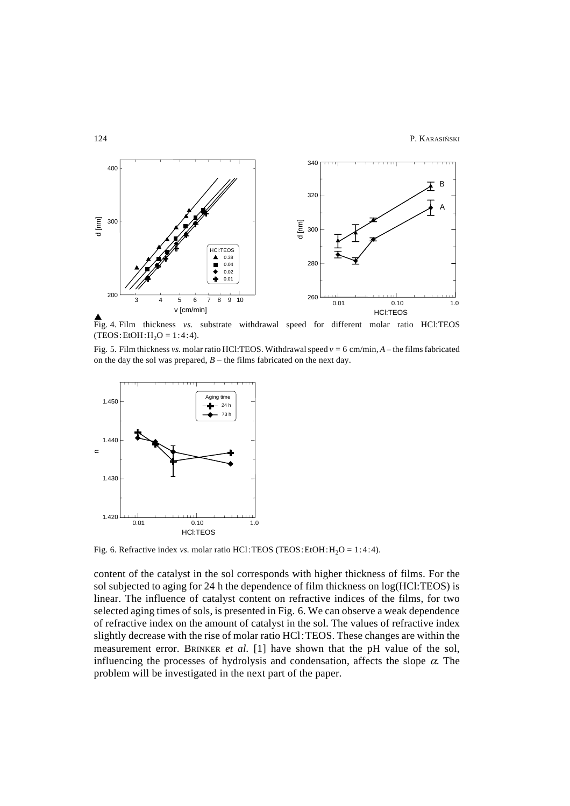

Fig. 4. Film thickness *vs.* substrate withdrawal speed for different molar ratio HCl:TEOS  $(TEOS:EtOH:H<sub>2</sub>O = 1:4:4).$ 

Fig. 5. Film thickness *vs.* molar ratio HCl:TEOS. Withdrawal speed *v* = 6 cm/min, *A* – the films fabricated on the day the sol was prepared,  $B$  – the films fabricated on the next day.



Fig. 6. Refractive index *vs.* molar ratio HCl:TEOS (TEOS:EtOH:  $H_2O = 1:4:4$ ).

content of the catalyst in the sol corresponds with higher thickness of films. For the sol subjected to aging for 24 h the dependence of film thickness on log(HCl:TEOS) is linear. The influence of catalyst content on refractive indices of the films, for two selected aging times of sols, is presented in Fig. 6. We can observe a weak dependence of refractive index on the amount of catalyst in the sol. The values of refractive index slightly decrease with the rise of molar ratio HCl:TEOS. These changes are within the measurement error. BRINKER *et al.* [1] have shown that the pH value of the sol, influencing the processes of hydrolysis and condensation, affects the slope  $\alpha$ . The problem will be investigated in the next part of the paper.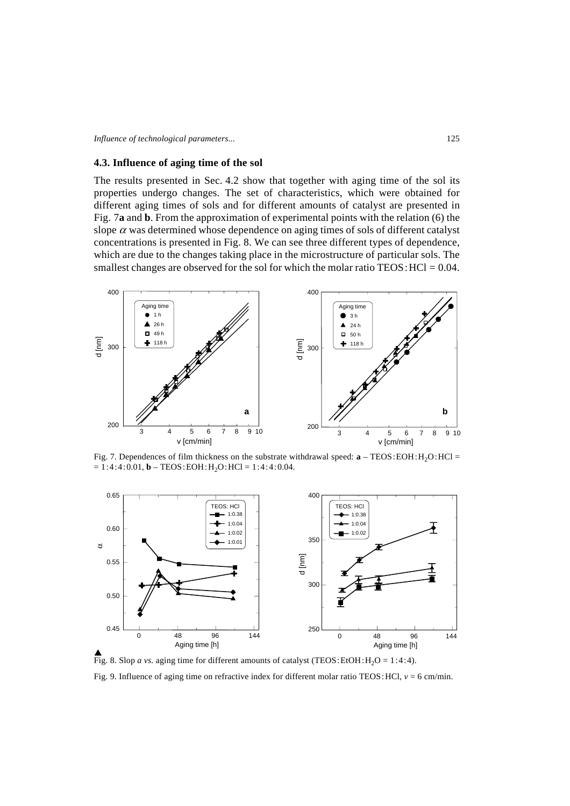# **4.3. Influence of aging time of the sol**

The results presented in Sec. 4.2 show that together with aging time of the sol its properties undergo changes. The set of characteristics, which were obtained for different aging times of sols and for different amounts of catalyst are presented in Fig. 7**a** and **b**. From the approximation of experimental points with the relation (6) the slope  $\alpha$  was determined whose dependence on aging times of sols of different catalyst concentrations is presented in Fig. 8. We can see three different types of dependence, which are due to the changes taking place in the microstructure of particular sols. The smallest changes are observed for the sol for which the molar ratio  $TEOS$ :  $HCl = 0.04$ .



Fig. 7. Dependences of film thickness on the substrate withdrawal speed:  $\mathbf{a}$  – TEOS: EOH: H<sub>2</sub>O: HCl =  $= 1:4:4:0.01$ , **b** – TEOS: EOH: H<sub>2</sub>O: HCl = 1:4:4:0.04.



Fig. 8. Slop *a vs*. aging time for different amounts of catalyst (TEOS: EtOH:  $H_2O = 1:4:4$ ). Fig. 9. Influence of aging time on refractive index for different molar ratio TEOS: HCl,  $v = 6$  cm/min.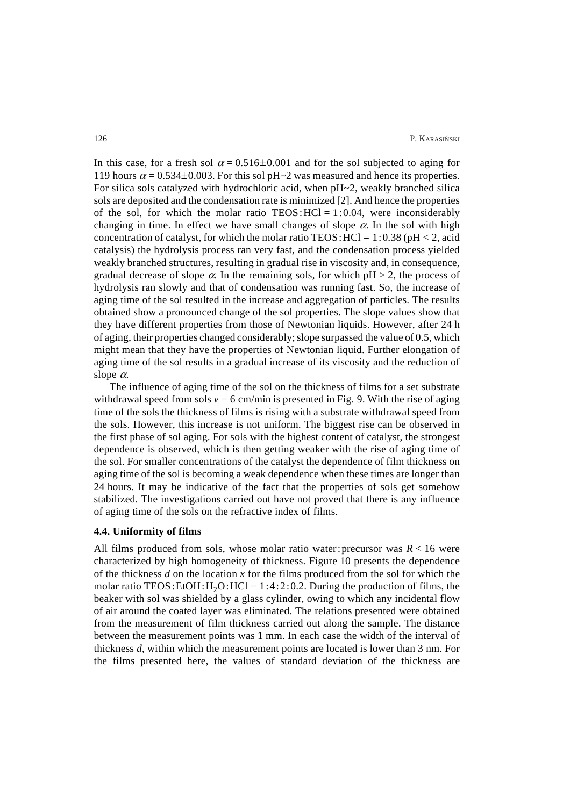In this case, for a fresh sol  $\alpha = 0.516 \pm 0.001$  and for the sol subjected to aging for 119 hours  $\alpha$  = 0.534±0.003. For this sol pH~2 was measured and hence its properties. For silica sols catalyzed with hydrochloric acid, when pH~2, weakly branched silica sols are deposited and the condensation rate is minimized [2]. And hence the properties of the sol, for which the molar ratio  $TEOS:HCl = 1:0.04$ , were inconsiderably changing in time. In effect we have small changes of slope  $\alpha$ . In the sol with high concentration of catalyst, for which the molar ratio  $TEOS$ :  $HC1 = 1:0.38$  ( $pH < 2$ , acid catalysis) the hydrolysis process ran very fast, and the condensation process yielded weakly branched structures, resulting in gradual rise in viscosity and, in consequence, gradual decrease of slope  $\alpha$ . In the remaining sols, for which  $pH > 2$ , the process of hydrolysis ran slowly and that of condensation was running fast. So, the increase of aging time of the sol resulted in the increase and aggregation of particles. The results obtained show a pronounced change of the sol properties. The slope values show that they have different properties from those of Newtonian liquids. However, after 24 h of aging, their properties changed considerably; slope surpassed the value of 0.5, which might mean that they have the properties of Newtonian liquid. Further elongation of aging time of the sol results in a gradual increase of its viscosity and the reduction of slope  $\alpha$ .

The influence of aging time of the sol on the thickness of films for a set substrate withdrawal speed from sols  $v = 6$  cm/min is presented in Fig. 9. With the rise of aging time of the sols the thickness of films is rising with a substrate withdrawal speed from the sols. However, this increase is not uniform. The biggest rise can be observed in the first phase of sol aging. For sols with the highest content of catalyst, the strongest dependence is observed, which is then getting weaker with the rise of aging time of the sol. For smaller concentrations of the catalyst the dependence of film thickness on aging time of the sol is becoming a weak dependence when these times are longer than 24 hours. It may be indicative of the fact that the properties of sols get somehow stabilized. The investigations carried out have not proved that there is any influence of aging time of the sols on the refractive index of films.

### **4.4. Uniformity of films**

All films produced from sols, whose molar ratio water: precursor was  $R < 16$  were characterized by high homogeneity of thickness. Figure 10 presents the dependence of the thickness *d* on the location *x* for the films produced from the sol for which the molar ratio TEOS: EtOH:  $H_2O$ :  $HCl = 1:4:2:0.2$ . During the production of films, the beaker with sol was shielded by a glass cylinder, owing to which any incidental flow of air around the coated layer was eliminated. The relations presented were obtained from the measurement of film thickness carried out along the sample. The distance between the measurement points was 1 mm. In each case the width of the interval of thickness *d*, within which the measurement points are located is lower than 3 nm. For the films presented here, the values of standard deviation of the thickness are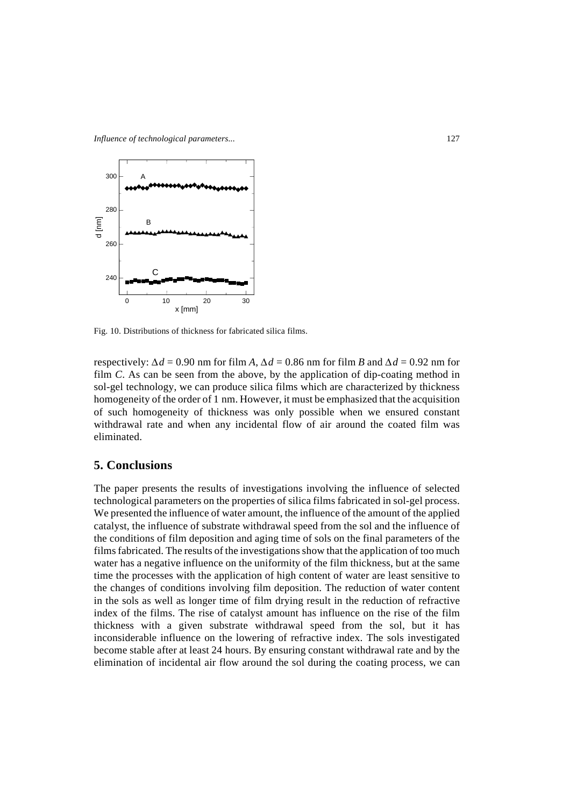

Fig. 10. Distributions of thickness for fabricated silica films.

respectively:  $\Delta d = 0.90$  nm for film *A*,  $\Delta d = 0.86$  nm for film *B* and  $\Delta d = 0.92$  nm for film *C*. As can be seen from the above, by the application of dip-coating method in sol-gel technology, we can produce silica films which are characterized by thickness homogeneity of the order of 1 nm. However, it must be emphasized that the acquisition of such homogeneity of thickness was only possible when we ensured constant withdrawal rate and when any incidental flow of air around the coated film was eliminated.

# **5. Conclusions**

The paper presents the results of investigations involving the influence of selected technological parameters on the properties of silica films fabricated in sol-gel process. We presented the influence of water amount, the influence of the amount of the applied catalyst, the influence of substrate withdrawal speed from the sol and the influence of the conditions of film deposition and aging time of sols on the final parameters of the films fabricated. The results of the investigations show that the application of too much water has a negative influence on the uniformity of the film thickness, but at the same time the processes with the application of high content of water are least sensitive to the changes of conditions involving film deposition. The reduction of water content in the sols as well as longer time of film drying result in the reduction of refractive index of the films. The rise of catalyst amount has influence on the rise of the film thickness with a given substrate withdrawal speed from the sol, but it has inconsiderable influence on the lowering of refractive index. The sols investigated become stable after at least 24 hours. By ensuring constant withdrawal rate and by the elimination of incidental air flow around the sol during the coating process, we can